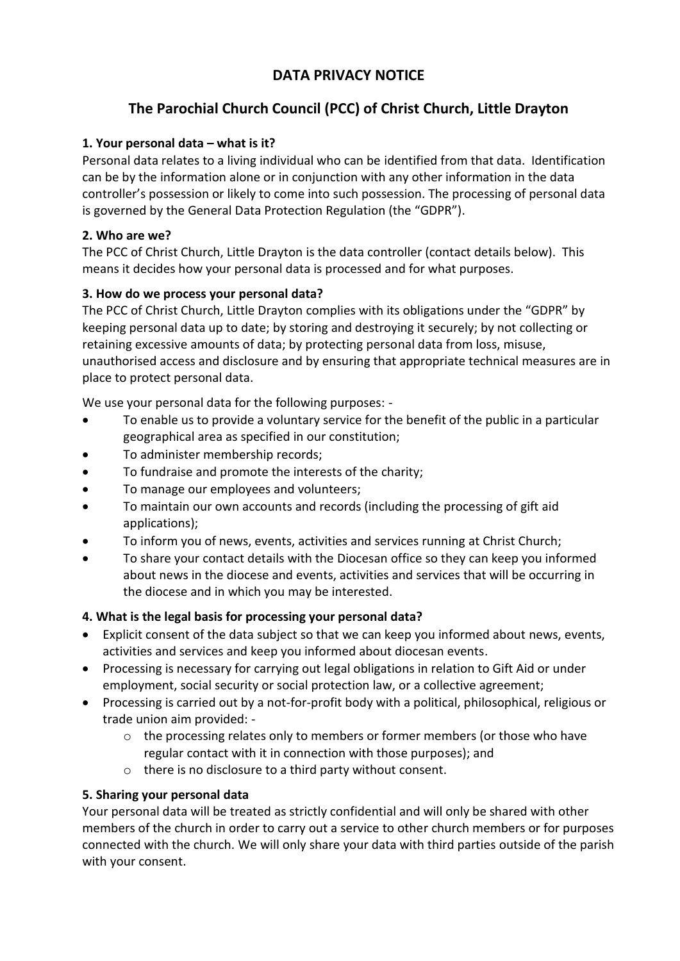## **DATA PRIVACY NOTICE**

# **The Parochial Church Council (PCC) of Christ Church, Little Drayton**

## **1. Your personal data – what is it?**

Personal data relates to a living individual who can be identified from that data. Identification can be by the information alone or in conjunction with any other information in the data controller's possession or likely to come into such possession. The processing of personal data is governed by the General Data Protection Regulation (the "GDPR").

### **2. Who are we?**

The PCC of Christ Church, Little Drayton is the data controller (contact details below). This means it decides how your personal data is processed and for what purposes.

### **3. How do we process your personal data?**

The PCC of Christ Church, Little Drayton complies with its obligations under the "GDPR" by keeping personal data up to date; by storing and destroying it securely; by not collecting or retaining excessive amounts of data; by protecting personal data from loss, misuse, unauthorised access and disclosure and by ensuring that appropriate technical measures are in place to protect personal data.

We use your personal data for the following purposes: -

- To enable us to provide a voluntary service for the benefit of the public in a particular geographical area as specified in our constitution;
- To administer membership records;
- To fundraise and promote the interests of the charity;
- To manage our employees and volunteers;
- To maintain our own accounts and records (including the processing of gift aid applications);
- To inform you of news, events, activities and services running at Christ Church;
- To share your contact details with the Diocesan office so they can keep you informed about news in the diocese and events, activities and services that will be occurring in the diocese and in which you may be interested.

#### **4. What is the legal basis for processing your personal data?**

- Explicit consent of the data subject so that we can keep you informed about news, events, activities and services and keep you informed about diocesan events.
- Processing is necessary for carrying out legal obligations in relation to Gift Aid or under employment, social security or social protection law, or a collective agreement;
- Processing is carried out by a not-for-profit body with a political, philosophical, religious or trade union aim provided:
	- o the processing relates only to members or former members (or those who have regular contact with it in connection with those purposes); and
	- o there is no disclosure to a third party without consent.

#### **5. Sharing your personal data**

Your personal data will be treated as strictly confidential and will only be shared with other members of the church in order to carry out a service to other church members or for purposes connected with the church. We will only share your data with third parties outside of the parish with your consent.